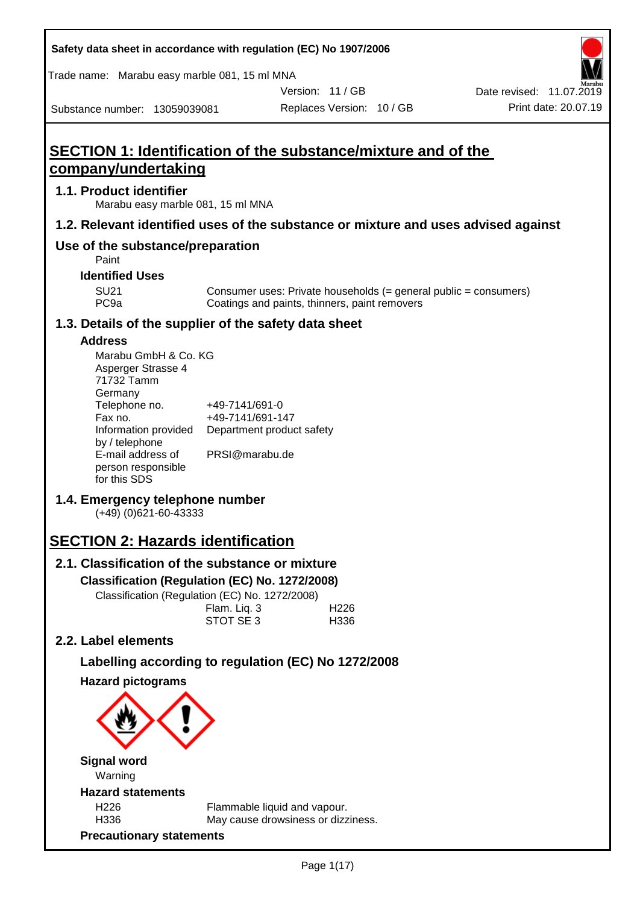| Safety data sheet in accordance with regulation (EC) No 1907/2006                     |                                    |                                                                    |                           |                                                                    |
|---------------------------------------------------------------------------------------|------------------------------------|--------------------------------------------------------------------|---------------------------|--------------------------------------------------------------------|
| Trade name: Marabu easy marble 081, 15 ml MNA                                         |                                    |                                                                    |                           |                                                                    |
|                                                                                       |                                    |                                                                    | Version: 11 / GB          | Date revised: 11.07.2019                                           |
| Substance number: 13059039081                                                         |                                    |                                                                    | Replaces Version: 10 / GB | Print date: 20.07.19                                               |
| SECTION 1: Identification of the substance/mixture and of the<br>company/undertaking  |                                    |                                                                    |                           |                                                                    |
| 1.1. Product identifier<br>Marabu easy marble 081, 15 ml MNA                          |                                    |                                                                    |                           |                                                                    |
| 1.2. Relevant identified uses of the substance or mixture and uses advised against    |                                    |                                                                    |                           |                                                                    |
| Use of the substance/preparation<br>Paint                                             |                                    |                                                                    |                           |                                                                    |
| <b>Identified Uses</b>                                                                |                                    |                                                                    |                           |                                                                    |
| <b>SU21</b><br>PC <sub>9a</sub>                                                       |                                    | Coatings and paints, thinners, paint removers                      |                           | Consumer uses: Private households $(=$ general public = consumers) |
| 1.3. Details of the supplier of the safety data sheet                                 |                                    |                                                                    |                           |                                                                    |
| <b>Address</b><br>Marabu GmbH & Co. KG<br>Asperger Strasse 4<br>71732 Tamm<br>Germany |                                    |                                                                    |                           |                                                                    |
| Telephone no.<br>Fax no.<br>Information provided<br>by / telephone                    | +49-7141/691-0<br>+49-7141/691-147 | Department product safety                                          |                           |                                                                    |
| E-mail address of<br>person responsible<br>for this SDS                               | PRSI@marabu.de                     |                                                                    |                           |                                                                    |
| 1.4. Emergency telephone number<br>$(+49)$ (0)621-60-43333                            |                                    |                                                                    |                           |                                                                    |
| <b>SECTION 2: Hazards identification</b>                                              |                                    |                                                                    |                           |                                                                    |
| 2.1. Classification of the substance or mixture                                       |                                    |                                                                    |                           |                                                                    |
| Classification (Regulation (EC) No. 1272/2008)                                        |                                    |                                                                    |                           |                                                                    |
| Classification (Regulation (EC) No. 1272/2008)                                        |                                    |                                                                    |                           |                                                                    |
|                                                                                       | Flam. Liq. 3<br>STOT SE 3          |                                                                    | H <sub>226</sub><br>H336  |                                                                    |
| 2.2. Label elements                                                                   |                                    |                                                                    |                           |                                                                    |
| Labelling according to regulation (EC) No 1272/2008                                   |                                    |                                                                    |                           |                                                                    |
| <b>Hazard pictograms</b>                                                              |                                    |                                                                    |                           |                                                                    |
|                                                                                       |                                    |                                                                    |                           |                                                                    |
| <b>Signal word</b><br>Warning                                                         |                                    |                                                                    |                           |                                                                    |
| <b>Hazard statements</b>                                                              |                                    |                                                                    |                           |                                                                    |
| H <sub>226</sub><br>H336                                                              |                                    | Flammable liquid and vapour.<br>May cause drowsiness or dizziness. |                           |                                                                    |
| <b>Precautionary statements</b>                                                       |                                    |                                                                    |                           |                                                                    |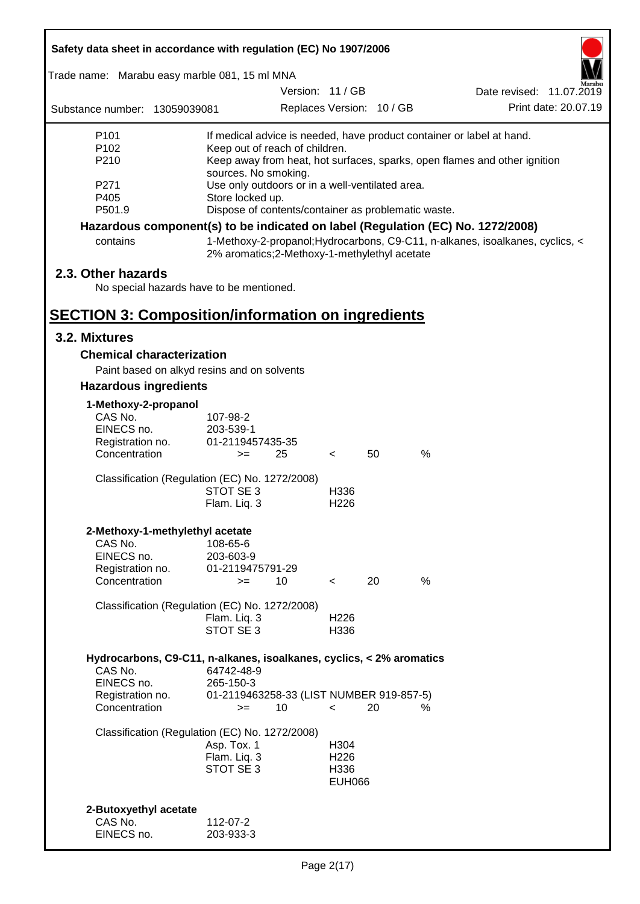| Safety data sheet in accordance with regulation (EC) No 1907/2006                             |                                                                     |                  |                                           |                           |                                                                                                                                                    |
|-----------------------------------------------------------------------------------------------|---------------------------------------------------------------------|------------------|-------------------------------------------|---------------------------|----------------------------------------------------------------------------------------------------------------------------------------------------|
| Trade name: Marabu easy marble 081, 15 ml MNA                                                 |                                                                     |                  |                                           |                           |                                                                                                                                                    |
|                                                                                               |                                                                     | Version: 11 / GB |                                           |                           | Date revised: 11.07.2019                                                                                                                           |
| Substance number: 13059039081                                                                 |                                                                     |                  |                                           | Replaces Version: 10 / GB | Print date: 20.07.19                                                                                                                               |
| P <sub>101</sub><br>P <sub>102</sub><br>P210                                                  | Keep out of reach of children.<br>sources. No smoking.              |                  |                                           |                           | If medical advice is needed, have product container or label at hand.<br>Keep away from heat, hot surfaces, sparks, open flames and other ignition |
| P271<br>P405                                                                                  | Use only outdoors or in a well-ventilated area.<br>Store locked up. |                  |                                           |                           |                                                                                                                                                    |
| P501.9                                                                                        | Dispose of contents/container as problematic waste.                 |                  |                                           |                           |                                                                                                                                                    |
| Hazardous component(s) to be indicated on label (Regulation (EC) No. 1272/2008)<br>contains   | 2% aromatics;2-Methoxy-1-methylethyl acetate                        |                  |                                           |                           | 1-Methoxy-2-propanol; Hydrocarbons, C9-C11, n-alkanes, isoalkanes, cyclics, <                                                                      |
| 2.3. Other hazards<br>No special hazards have to be mentioned.                                |                                                                     |                  |                                           |                           |                                                                                                                                                    |
| <b>SECTION 3: Composition/information on ingredients</b>                                      |                                                                     |                  |                                           |                           |                                                                                                                                                    |
| 3.2. Mixtures                                                                                 |                                                                     |                  |                                           |                           |                                                                                                                                                    |
| <b>Chemical characterization</b>                                                              |                                                                     |                  |                                           |                           |                                                                                                                                                    |
| Paint based on alkyd resins and on solvents                                                   |                                                                     |                  |                                           |                           |                                                                                                                                                    |
| <b>Hazardous ingredients</b>                                                                  |                                                                     |                  |                                           |                           |                                                                                                                                                    |
| 1-Methoxy-2-propanol                                                                          |                                                                     |                  |                                           |                           |                                                                                                                                                    |
| CAS No.                                                                                       | 107-98-2                                                            |                  |                                           |                           |                                                                                                                                                    |
| EINECS no.                                                                                    | 203-539-1                                                           |                  |                                           |                           |                                                                                                                                                    |
| Registration no.<br>Concentration                                                             | 01-2119457435-35<br>$>=$                                            | 25               | $\overline{\phantom{0}}$                  | 50                        | %                                                                                                                                                  |
| Classification (Regulation (EC) No. 1272/2008)                                                | STOT SE 3                                                           |                  | H336                                      |                           |                                                                                                                                                    |
|                                                                                               | Flam. Liq. 3                                                        |                  | H <sub>226</sub>                          |                           |                                                                                                                                                    |
| 2-Methoxy-1-methylethyl acetate                                                               |                                                                     |                  |                                           |                           |                                                                                                                                                    |
| CAS No.                                                                                       | 108-65-6                                                            |                  |                                           |                           |                                                                                                                                                    |
| EINECS no.<br>Registration no.                                                                | 203-603-9<br>01-2119475791-29                                       |                  |                                           |                           |                                                                                                                                                    |
| Concentration                                                                                 | $=$                                                                 | 10               | $\overline{\phantom{0}}$                  | 20                        | %                                                                                                                                                  |
| Classification (Regulation (EC) No. 1272/2008)                                                | Flam. Liq. 3<br>STOT SE 3                                           |                  | H <sub>226</sub><br>H336                  |                           |                                                                                                                                                    |
|                                                                                               |                                                                     |                  |                                           |                           |                                                                                                                                                    |
| Hydrocarbons, C9-C11, n-alkanes, isoalkanes, cyclics, < 2% aromatics<br>CAS No.<br>EINECS no. | 64742-48-9<br>265-150-3                                             |                  |                                           |                           |                                                                                                                                                    |
| Registration no.<br>Concentration                                                             | 01-2119463258-33 (LIST NUMBER 919-857-5)<br>$>=$                    | 10               | $\overline{\phantom{0}}$                  | 20                        | %                                                                                                                                                  |
| Classification (Regulation (EC) No. 1272/2008)                                                | Asp. Tox. 1                                                         |                  | H304                                      |                           |                                                                                                                                                    |
|                                                                                               | Flam. Liq. 3<br>STOT SE 3                                           |                  | H <sub>226</sub><br>H336<br><b>EUH066</b> |                           |                                                                                                                                                    |
| 2-Butoxyethyl acetate                                                                         |                                                                     |                  |                                           |                           |                                                                                                                                                    |
| CAS No.<br>EINECS no.                                                                         | 112-07-2<br>203-933-3                                               |                  |                                           |                           |                                                                                                                                                    |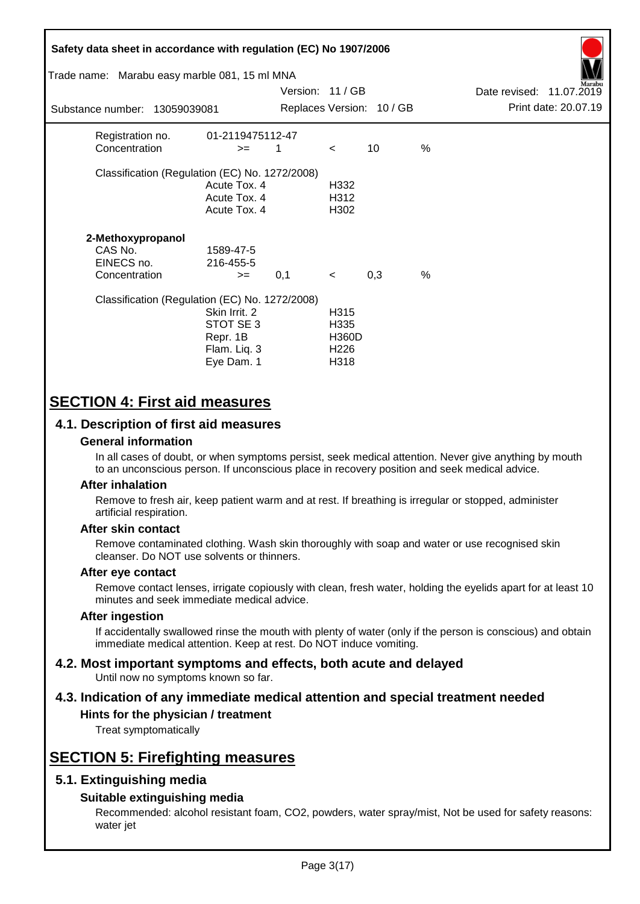| Safety data sheet in accordance with regulation (EC) No 1907/2006<br>Trade name: Marabu easy marble 081, 15 ml MNA<br>Substance number: 13059039081 |                                                                      | Version: 11 / GB |                                                          | Replaces Version: 10 / GB |               | Date revised: 11.07.2019 | Marabu<br>Print date: 20.07.19 |
|-----------------------------------------------------------------------------------------------------------------------------------------------------|----------------------------------------------------------------------|------------------|----------------------------------------------------------|---------------------------|---------------|--------------------------|--------------------------------|
| Registration no.<br>Concentration                                                                                                                   | 01-2119475112-47<br>$>=$                                             | 1                | $\prec$                                                  | 10                        | %             |                          |                                |
| Classification (Regulation (EC) No. 1272/2008)                                                                                                      | Acute Tox. 4<br>Acute Tox. 4<br>Acute Tox. 4                         |                  | H332<br>H312<br>H302                                     |                           |               |                          |                                |
| 2-Methoxypropanol<br>CAS No.<br>EINECS no.<br>Concentration                                                                                         | 1589-47-5<br>216-455-5<br>$>=$                                       | 0,1              | $\prec$                                                  | 0,3                       | $\frac{0}{0}$ |                          |                                |
| Classification (Regulation (EC) No. 1272/2008)                                                                                                      | Skin Irrit. 2<br>STOT SE 3<br>Repr. 1B<br>Flam. Liq. 3<br>Eye Dam. 1 |                  | H315<br>H335<br><b>H360D</b><br>H <sub>226</sub><br>H318 |                           |               |                          |                                |

# **SECTION 4: First aid measures**

# **4.1. Description of first aid measures**

### **General information**

In all cases of doubt, or when symptoms persist, seek medical attention. Never give anything by mouth to an unconscious person. If unconscious place in recovery position and seek medical advice.

### **After inhalation**

Remove to fresh air, keep patient warm and at rest. If breathing is irregular or stopped, administer artificial respiration.

### **After skin contact**

Remove contaminated clothing. Wash skin thoroughly with soap and water or use recognised skin cleanser. Do NOT use solvents or thinners.

### **After eye contact**

Remove contact lenses, irrigate copiously with clean, fresh water, holding the eyelids apart for at least 10 minutes and seek immediate medical advice.

### **After ingestion**

If accidentally swallowed rinse the mouth with plenty of water (only if the person is conscious) and obtain immediate medical attention. Keep at rest. Do NOT induce vomiting.

#### **4.2. Most important symptoms and effects, both acute and delayed** Until now no symptoms known so far.

# **4.3. Indication of any immediate medical attention and special treatment needed**

# **Hints for the physician / treatment**

Treat symptomatically

# **SECTION 5: Firefighting measures**

# **5.1. Extinguishing media**

### **Suitable extinguishing media**

Recommended: alcohol resistant foam, CO2, powders, water spray/mist, Not be used for safety reasons: water jet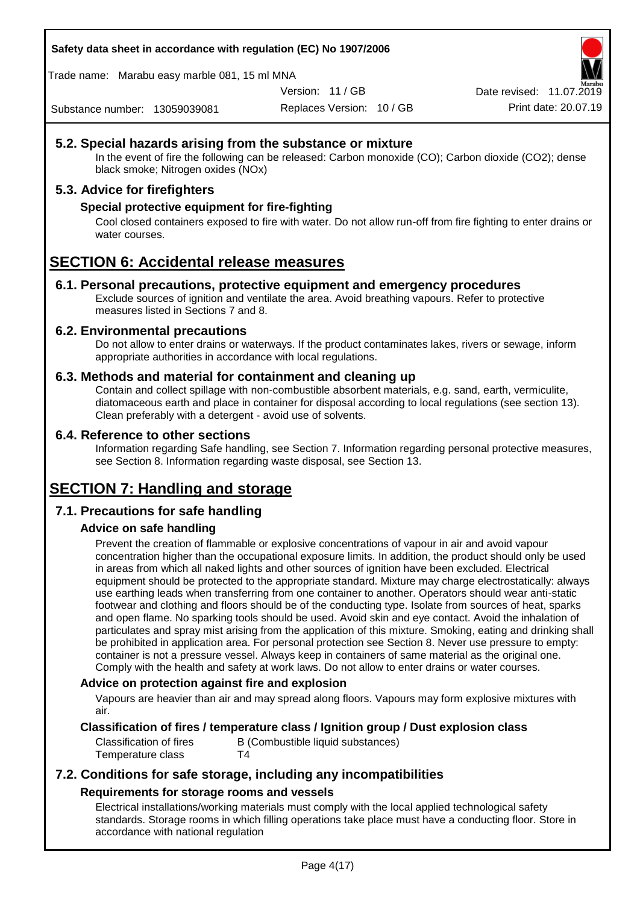**Safety data sheet in accordance with regulation (EC) No 1907/2006**

Trade name: Marabu easy marble 081, 15 ml MNA

Version: 11 / GB

Replaces Version: 10 / GB Print date: 20.07.19 Date revised: 11.07.2019

Substance number: 13059039081

# **5.2. Special hazards arising from the substance or mixture**

In the event of fire the following can be released: Carbon monoxide (CO); Carbon dioxide (CO2); dense black smoke; Nitrogen oxides (NOx)

# **5.3. Advice for firefighters**

## **Special protective equipment for fire-fighting**

Cool closed containers exposed to fire with water. Do not allow run-off from fire fighting to enter drains or water courses.

# **SECTION 6: Accidental release measures**

### **6.1. Personal precautions, protective equipment and emergency procedures**

Exclude sources of ignition and ventilate the area. Avoid breathing vapours. Refer to protective measures listed in Sections 7 and 8.

### **6.2. Environmental precautions**

Do not allow to enter drains or waterways. If the product contaminates lakes, rivers or sewage, inform appropriate authorities in accordance with local regulations.

### **6.3. Methods and material for containment and cleaning up**

Contain and collect spillage with non-combustible absorbent materials, e.g. sand, earth, vermiculite, diatomaceous earth and place in container for disposal according to local regulations (see section 13). Clean preferably with a detergent - avoid use of solvents.

### **6.4. Reference to other sections**

Information regarding Safe handling, see Section 7. Information regarding personal protective measures, see Section 8. Information regarding waste disposal, see Section 13.

# **SECTION 7: Handling and storage**

# **7.1. Precautions for safe handling**

# **Advice on safe handling**

Prevent the creation of flammable or explosive concentrations of vapour in air and avoid vapour concentration higher than the occupational exposure limits. In addition, the product should only be used in areas from which all naked lights and other sources of ignition have been excluded. Electrical equipment should be protected to the appropriate standard. Mixture may charge electrostatically: always use earthing leads when transferring from one container to another. Operators should wear anti-static footwear and clothing and floors should be of the conducting type. Isolate from sources of heat, sparks and open flame. No sparking tools should be used. Avoid skin and eye contact. Avoid the inhalation of particulates and spray mist arising from the application of this mixture. Smoking, eating and drinking shall be prohibited in application area. For personal protection see Section 8. Never use pressure to empty: container is not a pressure vessel. Always keep in containers of same material as the original one. Comply with the health and safety at work laws. Do not allow to enter drains or water courses.

### **Advice on protection against fire and explosion**

Vapours are heavier than air and may spread along floors. Vapours may form explosive mixtures with air.

# **Classification of fires / temperature class / Ignition group / Dust explosion class**

Temperature class T4

Classification of fires B (Combustible liquid substances)

# **7.2. Conditions for safe storage, including any incompatibilities Requirements for storage rooms and vessels**

Electrical installations/working materials must comply with the local applied technological safety standards. Storage rooms in which filling operations take place must have a conducting floor. Store in accordance with national regulation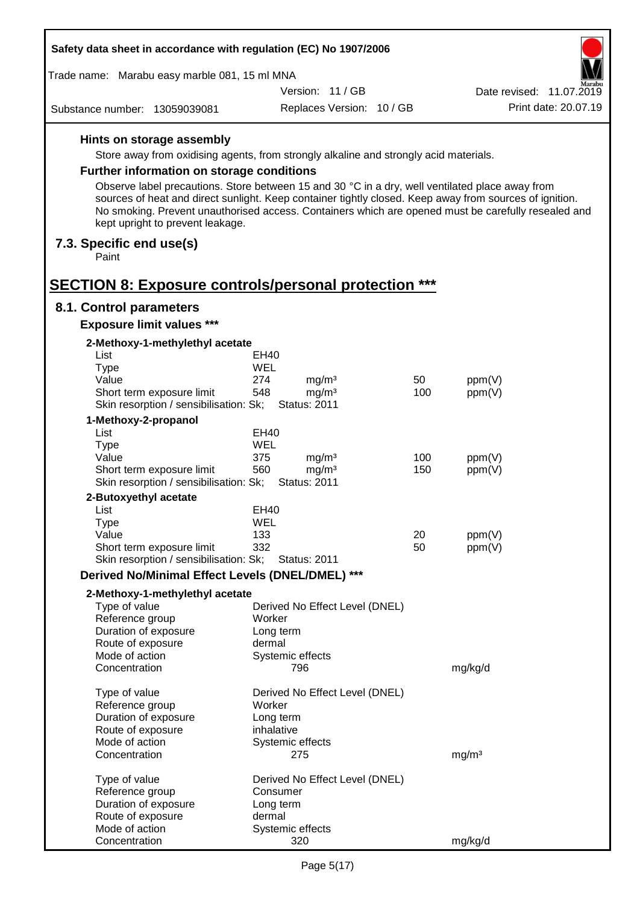| Safety data sheet in accordance with regulation (EC) No 1907/2006                               |            |                                        |            |                                                                                                                                                                                                                |  |  |  |
|-------------------------------------------------------------------------------------------------|------------|----------------------------------------|------------|----------------------------------------------------------------------------------------------------------------------------------------------------------------------------------------------------------------|--|--|--|
| Trade name: Marabu easy marble 081, 15 ml MNA<br>Aarabu                                         |            |                                        |            |                                                                                                                                                                                                                |  |  |  |
|                                                                                                 |            | Version: 11 / GB                       |            | Date revised: 11.07.2019                                                                                                                                                                                       |  |  |  |
| Substance number: 13059039081                                                                   |            | Replaces Version: 10 / GB              |            | Print date: 20.07.19                                                                                                                                                                                           |  |  |  |
| Hints on storage assembly                                                                       |            |                                        |            |                                                                                                                                                                                                                |  |  |  |
| Store away from oxidising agents, from strongly alkaline and strongly acid materials.           |            |                                        |            |                                                                                                                                                                                                                |  |  |  |
| <b>Further information on storage conditions</b>                                                |            |                                        |            |                                                                                                                                                                                                                |  |  |  |
| Observe label precautions. Store between 15 and 30 °C in a dry, well ventilated place away from |            |                                        |            |                                                                                                                                                                                                                |  |  |  |
| kept upright to prevent leakage.                                                                |            |                                        |            | sources of heat and direct sunlight. Keep container tightly closed. Keep away from sources of ignition.<br>No smoking. Prevent unauthorised access. Containers which are opened must be carefully resealed and |  |  |  |
| 7.3. Specific end use(s)<br>Paint                                                               |            |                                        |            |                                                                                                                                                                                                                |  |  |  |
| <b>SECTION 8: Exposure controls/personal protection ***</b>                                     |            |                                        |            |                                                                                                                                                                                                                |  |  |  |
| 8.1. Control parameters                                                                         |            |                                        |            |                                                                                                                                                                                                                |  |  |  |
| <b>Exposure limit values ***</b>                                                                |            |                                        |            |                                                                                                                                                                                                                |  |  |  |
| 2-Methoxy-1-methylethyl acetate<br>List                                                         | EH40       |                                        |            |                                                                                                                                                                                                                |  |  |  |
| <b>Type</b>                                                                                     | WEL        |                                        |            |                                                                                                                                                                                                                |  |  |  |
| Value                                                                                           | 274        | mg/m <sup>3</sup>                      | 50         | ppm(V)                                                                                                                                                                                                         |  |  |  |
| Short term exposure limit                                                                       | 548        | mg/m <sup>3</sup>                      | 100        | ppm(V)                                                                                                                                                                                                         |  |  |  |
| Skin resorption / sensibilisation: Sk;                                                          |            | <b>Status: 2011</b>                    |            |                                                                                                                                                                                                                |  |  |  |
| 1-Methoxy-2-propanol                                                                            |            |                                        |            |                                                                                                                                                                                                                |  |  |  |
| List                                                                                            | EH40       |                                        |            |                                                                                                                                                                                                                |  |  |  |
| <b>Type</b>                                                                                     | WEL        |                                        |            |                                                                                                                                                                                                                |  |  |  |
| Value<br>Short term exposure limit                                                              | 375<br>560 | mg/m <sup>3</sup><br>mg/m <sup>3</sup> | 100<br>150 | ppm(V)<br>ppm(V)                                                                                                                                                                                               |  |  |  |
| Skin resorption / sensibilisation: Sk;                                                          |            | <b>Status: 2011</b>                    |            |                                                                                                                                                                                                                |  |  |  |
| 2-Butoxyethyl acetate                                                                           |            |                                        |            |                                                                                                                                                                                                                |  |  |  |
| List                                                                                            | EH40       |                                        |            |                                                                                                                                                                                                                |  |  |  |
| Type                                                                                            | WEL        |                                        |            |                                                                                                                                                                                                                |  |  |  |
| Value                                                                                           | 133        |                                        | 20         | ppm(V)                                                                                                                                                                                                         |  |  |  |
| Short term exposure limit                                                                       | 332        |                                        | 50         | ppm(V)                                                                                                                                                                                                         |  |  |  |
| Skin resorption / sensibilisation: Sk;                                                          |            | <b>Status: 2011</b>                    |            |                                                                                                                                                                                                                |  |  |  |
| Derived No/Minimal Effect Levels (DNEL/DMEL) ***                                                |            |                                        |            |                                                                                                                                                                                                                |  |  |  |
| 2-Methoxy-1-methylethyl acetate                                                                 |            |                                        |            |                                                                                                                                                                                                                |  |  |  |
| Type of value                                                                                   |            | Derived No Effect Level (DNEL)         |            |                                                                                                                                                                                                                |  |  |  |
| Reference group<br>Duration of exposure                                                         | Worker     | Long term                              |            |                                                                                                                                                                                                                |  |  |  |
| Route of exposure                                                                               | dermal     |                                        |            |                                                                                                                                                                                                                |  |  |  |
| Mode of action                                                                                  |            | Systemic effects                       |            |                                                                                                                                                                                                                |  |  |  |
| Concentration                                                                                   |            | 796                                    |            | mg/kg/d                                                                                                                                                                                                        |  |  |  |
| Type of value                                                                                   |            | Derived No Effect Level (DNEL)         |            |                                                                                                                                                                                                                |  |  |  |
| Reference group                                                                                 | Worker     |                                        |            |                                                                                                                                                                                                                |  |  |  |
| Duration of exposure                                                                            |            | Long term                              |            |                                                                                                                                                                                                                |  |  |  |
| Route of exposure                                                                               |            | inhalative                             |            |                                                                                                                                                                                                                |  |  |  |
| Mode of action<br>Concentration                                                                 |            | Systemic effects<br>275                |            | mg/m <sup>3</sup>                                                                                                                                                                                              |  |  |  |
| Type of value                                                                                   |            | Derived No Effect Level (DNEL)         |            |                                                                                                                                                                                                                |  |  |  |
| Reference group                                                                                 |            | Consumer                               |            |                                                                                                                                                                                                                |  |  |  |
| Duration of exposure                                                                            |            | Long term                              |            |                                                                                                                                                                                                                |  |  |  |
| Route of exposure                                                                               | dermal     |                                        |            |                                                                                                                                                                                                                |  |  |  |
| Mode of action                                                                                  |            | Systemic effects                       |            |                                                                                                                                                                                                                |  |  |  |
| Concentration                                                                                   |            | 320                                    |            | mg/kg/d                                                                                                                                                                                                        |  |  |  |

 $\Gamma$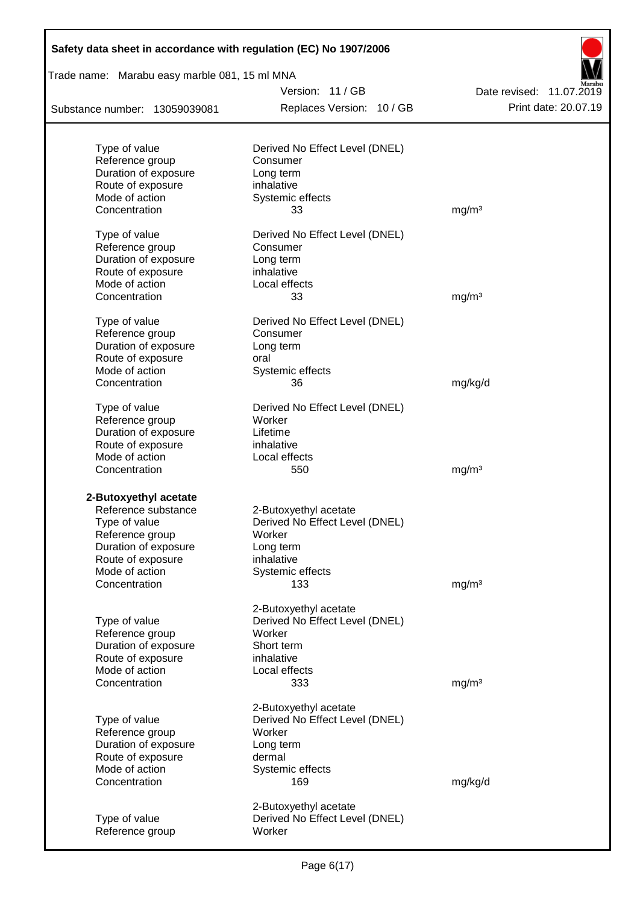| Safety data sheet in accordance with regulation (EC) No 1907/2006 |                                |                          |
|-------------------------------------------------------------------|--------------------------------|--------------------------|
| Trade name: Marabu easy marble 081, 15 ml MNA                     |                                |                          |
|                                                                   | Version: 11/GB                 | Date revised: 11.07.2019 |
| Substance number: 13059039081                                     | Replaces Version: 10 / GB      | Print date: 20.07.19     |
|                                                                   |                                |                          |
| Type of value                                                     | Derived No Effect Level (DNEL) |                          |
| Reference group                                                   | Consumer                       |                          |
| Duration of exposure                                              | Long term                      |                          |
| Route of exposure<br>Mode of action                               | inhalative                     |                          |
| Concentration                                                     | Systemic effects<br>33         | mg/m <sup>3</sup>        |
|                                                                   |                                |                          |
| Type of value                                                     | Derived No Effect Level (DNEL) |                          |
| Reference group<br>Duration of exposure                           | Consumer                       |                          |
|                                                                   | Long term                      |                          |
| Route of exposure<br>Mode of action                               | inhalative                     |                          |
| Concentration                                                     | Local effects<br>33            |                          |
|                                                                   |                                | mg/m <sup>3</sup>        |
| Type of value                                                     | Derived No Effect Level (DNEL) |                          |
| Reference group                                                   | Consumer                       |                          |
| Duration of exposure                                              | Long term                      |                          |
| Route of exposure                                                 | oral                           |                          |
| Mode of action                                                    | Systemic effects               |                          |
| Concentration                                                     | 36                             | mg/kg/d                  |
| Type of value                                                     | Derived No Effect Level (DNEL) |                          |
| Reference group                                                   | Worker                         |                          |
| Duration of exposure                                              | Lifetime                       |                          |
| Route of exposure                                                 | inhalative                     |                          |
| Mode of action                                                    | Local effects                  |                          |
| Concentration                                                     | 550                            | mg/m <sup>3</sup>        |
| 2-Butoxyethyl acetate                                             |                                |                          |
| Reference substance                                               | 2-Butoxyethyl acetate          |                          |
| Type of value                                                     | Derived No Effect Level (DNEL) |                          |
| Reference group                                                   | Worker                         |                          |
| Duration of exposure                                              | Long term                      |                          |
| Route of exposure                                                 | inhalative                     |                          |
| Mode of action                                                    | Systemic effects               |                          |
| Concentration                                                     | 133                            | mg/m <sup>3</sup>        |
|                                                                   |                                |                          |
|                                                                   | 2-Butoxyethyl acetate          |                          |
| Type of value                                                     | Derived No Effect Level (DNEL) |                          |
| Reference group                                                   | Worker                         |                          |
| Duration of exposure                                              | Short term                     |                          |
| Route of exposure                                                 | inhalative                     |                          |
| Mode of action<br>Concentration                                   | Local effects<br>333           | mg/m <sup>3</sup>        |
|                                                                   |                                |                          |
|                                                                   | 2-Butoxyethyl acetate          |                          |
| Type of value                                                     | Derived No Effect Level (DNEL) |                          |
| Reference group                                                   | Worker                         |                          |
| Duration of exposure                                              | Long term                      |                          |
| Route of exposure                                                 | dermal                         |                          |
| Mode of action                                                    | Systemic effects               |                          |
| Concentration                                                     | 169                            | mg/kg/d                  |
|                                                                   | 2-Butoxyethyl acetate          |                          |
| Type of value                                                     | Derived No Effect Level (DNEL) |                          |
| Reference group                                                   | Worker                         |                          |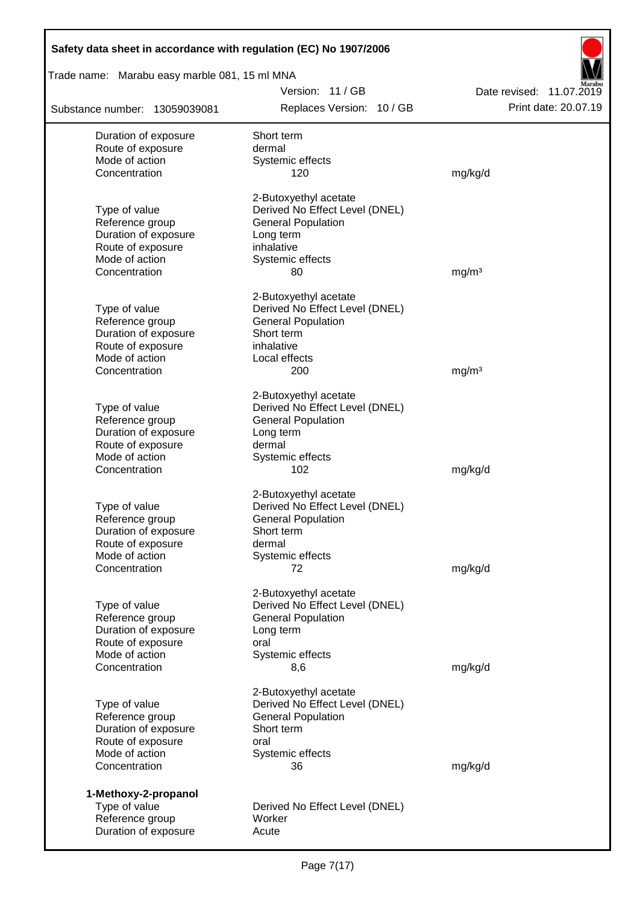| Safety data sheet in accordance with regulation (EC) No 1907/2006 |                                        |                          |
|-------------------------------------------------------------------|----------------------------------------|--------------------------|
| Trade name: Marabu easy marble 081, 15 ml MNA                     |                                        |                          |
|                                                                   | Version: 11/GB                         | Date revised: 11.07.2019 |
| Substance number: 13059039081                                     | Replaces Version: 10 / GB              | Print date: 20.07.19     |
| Duration of exposure                                              | Short term                             |                          |
| Route of exposure                                                 | dermal                                 |                          |
| Mode of action                                                    | Systemic effects                       |                          |
| Concentration                                                     | 120                                    | mg/kg/d                  |
|                                                                   | 2-Butoxyethyl acetate                  |                          |
| Type of value                                                     | Derived No Effect Level (DNEL)         |                          |
| Reference group<br>Duration of exposure                           | <b>General Population</b><br>Long term |                          |
| Route of exposure                                                 | inhalative                             |                          |
| Mode of action                                                    | Systemic effects                       |                          |
| Concentration                                                     | 80                                     | mq/m <sup>3</sup>        |
|                                                                   | 2-Butoxyethyl acetate                  |                          |
| Type of value                                                     | Derived No Effect Level (DNEL)         |                          |
| Reference group                                                   | <b>General Population</b>              |                          |
| Duration of exposure                                              | Short term                             |                          |
| Route of exposure                                                 | inhalative                             |                          |
| Mode of action                                                    | Local effects                          |                          |
| Concentration                                                     | 200                                    | mg/m <sup>3</sup>        |
|                                                                   | 2-Butoxyethyl acetate                  |                          |
| Type of value                                                     | Derived No Effect Level (DNEL)         |                          |
| Reference group                                                   | <b>General Population</b>              |                          |
| Duration of exposure                                              | Long term                              |                          |
| Route of exposure<br>Mode of action                               | dermal<br>Systemic effects             |                          |
| Concentration                                                     | 102                                    | mg/kg/d                  |
|                                                                   | 2-Butoxyethyl acetate                  |                          |
| Type of value                                                     | Derived No Effect Level (DNEL)         |                          |
| Reference group                                                   | <b>General Population</b>              |                          |
| Duration of exposure                                              | Short term                             |                          |
| Route of exposure                                                 | dermal                                 |                          |
| Mode of action                                                    | Systemic effects                       |                          |
| Concentration                                                     | 72                                     | mg/kg/d                  |
|                                                                   | 2-Butoxyethyl acetate                  |                          |
| Type of value                                                     | Derived No Effect Level (DNEL)         |                          |
| Reference group                                                   | <b>General Population</b>              |                          |
| Duration of exposure                                              | Long term                              |                          |
| Route of exposure<br>Mode of action                               | oral<br>Systemic effects               |                          |
| Concentration                                                     | 8,6                                    | mg/kg/d                  |
|                                                                   | 2-Butoxyethyl acetate                  |                          |
| Type of value                                                     | Derived No Effect Level (DNEL)         |                          |
| Reference group                                                   | <b>General Population</b>              |                          |
| Duration of exposure                                              | Short term                             |                          |
| Route of exposure                                                 | oral                                   |                          |
| Mode of action                                                    | Systemic effects                       |                          |
| Concentration                                                     | 36                                     | mg/kg/d                  |
| 1-Methoxy-2-propanol                                              |                                        |                          |
| Type of value                                                     | Derived No Effect Level (DNEL)         |                          |
| Reference group                                                   | Worker                                 |                          |
| Duration of exposure                                              | Acute                                  |                          |

Г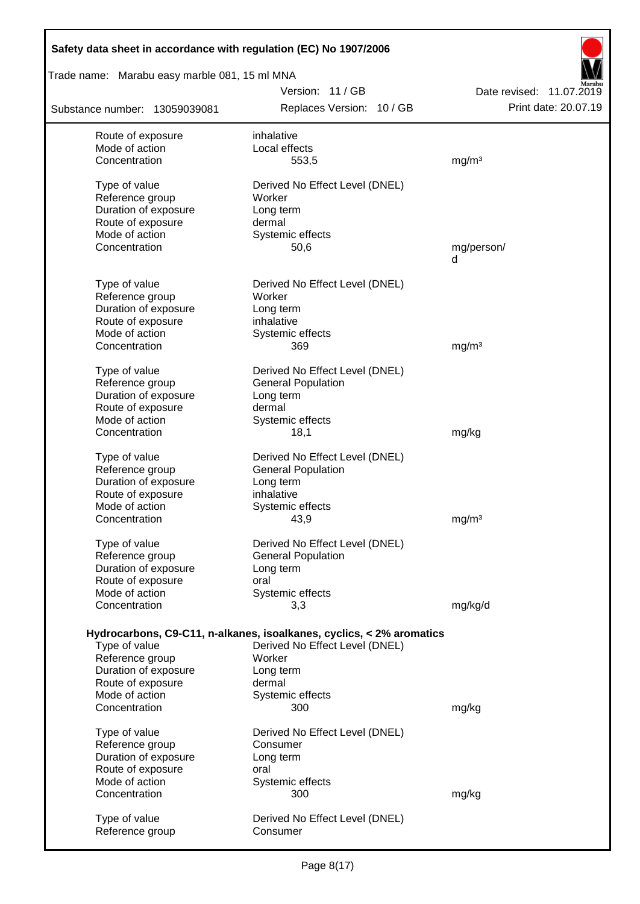| Safety data sheet in accordance with regulation (EC) No 1907/2006 |                                                                                                        |                          |  |  |  |  |  |
|-------------------------------------------------------------------|--------------------------------------------------------------------------------------------------------|--------------------------|--|--|--|--|--|
| Trade name: Marabu easy marble 081, 15 ml MNA                     |                                                                                                        |                          |  |  |  |  |  |
|                                                                   | Version: 11 / GB                                                                                       | Date revised: 11.07.2019 |  |  |  |  |  |
| Substance number: 13059039081                                     | Replaces Version: 10 / GB                                                                              | Print date: 20.07.19     |  |  |  |  |  |
| Route of exposure                                                 | inhalative                                                                                             |                          |  |  |  |  |  |
| Mode of action                                                    | Local effects                                                                                          |                          |  |  |  |  |  |
| Concentration                                                     | 553,5                                                                                                  | mg/m <sup>3</sup>        |  |  |  |  |  |
| Type of value                                                     | Derived No Effect Level (DNEL)                                                                         |                          |  |  |  |  |  |
| Reference group                                                   | Worker                                                                                                 |                          |  |  |  |  |  |
| Duration of exposure                                              | Long term                                                                                              |                          |  |  |  |  |  |
| Route of exposure                                                 | dermal                                                                                                 |                          |  |  |  |  |  |
| Mode of action                                                    | Systemic effects                                                                                       |                          |  |  |  |  |  |
| Concentration                                                     | 50,6                                                                                                   | mg/person/<br>d          |  |  |  |  |  |
|                                                                   |                                                                                                        |                          |  |  |  |  |  |
| Type of value                                                     | Derived No Effect Level (DNEL)                                                                         |                          |  |  |  |  |  |
| Reference group                                                   | Worker                                                                                                 |                          |  |  |  |  |  |
| Duration of exposure                                              | Long term                                                                                              |                          |  |  |  |  |  |
| Route of exposure<br>Mode of action                               | inhalative<br>Systemic effects                                                                         |                          |  |  |  |  |  |
| Concentration                                                     | 369                                                                                                    | mg/m <sup>3</sup>        |  |  |  |  |  |
|                                                                   |                                                                                                        |                          |  |  |  |  |  |
| Type of value                                                     | Derived No Effect Level (DNEL)                                                                         |                          |  |  |  |  |  |
| Reference group                                                   | <b>General Population</b>                                                                              |                          |  |  |  |  |  |
| Duration of exposure                                              | Long term<br>dermal                                                                                    |                          |  |  |  |  |  |
| Route of exposure<br>Mode of action                               | Systemic effects                                                                                       |                          |  |  |  |  |  |
| Concentration                                                     | 18,1                                                                                                   | mg/kg                    |  |  |  |  |  |
|                                                                   |                                                                                                        |                          |  |  |  |  |  |
| Type of value                                                     | Derived No Effect Level (DNEL)                                                                         |                          |  |  |  |  |  |
| Reference group                                                   | <b>General Population</b>                                                                              |                          |  |  |  |  |  |
| Duration of exposure<br>Route of exposure                         | Long term<br>inhalative                                                                                |                          |  |  |  |  |  |
| Mode of action                                                    | Systemic effects                                                                                       |                          |  |  |  |  |  |
| Concentration                                                     | 43,9                                                                                                   | mg/m <sup>3</sup>        |  |  |  |  |  |
|                                                                   | Derived No Effect Level (DNEL)                                                                         |                          |  |  |  |  |  |
| Type of value<br>Reference group                                  | <b>General Population</b>                                                                              |                          |  |  |  |  |  |
| Duration of exposure                                              | Long term                                                                                              |                          |  |  |  |  |  |
| Route of exposure                                                 | oral                                                                                                   |                          |  |  |  |  |  |
| Mode of action                                                    | Systemic effects                                                                                       |                          |  |  |  |  |  |
| Concentration                                                     | 3,3                                                                                                    | mg/kg/d                  |  |  |  |  |  |
|                                                                   |                                                                                                        |                          |  |  |  |  |  |
| Type of value                                                     | Hydrocarbons, C9-C11, n-alkanes, isoalkanes, cyclics, < 2% aromatics<br>Derived No Effect Level (DNEL) |                          |  |  |  |  |  |
| Reference group                                                   | Worker                                                                                                 |                          |  |  |  |  |  |
| Duration of exposure                                              | Long term                                                                                              |                          |  |  |  |  |  |
| Route of exposure                                                 | dermal                                                                                                 |                          |  |  |  |  |  |
| Mode of action                                                    | Systemic effects                                                                                       |                          |  |  |  |  |  |
| Concentration                                                     | 300                                                                                                    | mg/kg                    |  |  |  |  |  |
| Type of value                                                     | Derived No Effect Level (DNEL)                                                                         |                          |  |  |  |  |  |
| Reference group                                                   | Consumer                                                                                               |                          |  |  |  |  |  |
| Duration of exposure                                              | Long term                                                                                              |                          |  |  |  |  |  |
| Route of exposure                                                 | oral                                                                                                   |                          |  |  |  |  |  |
| Mode of action                                                    | Systemic effects                                                                                       |                          |  |  |  |  |  |
| Concentration                                                     | 300                                                                                                    | mg/kg                    |  |  |  |  |  |
| Type of value                                                     | Derived No Effect Level (DNEL)                                                                         |                          |  |  |  |  |  |
| Reference group                                                   | Consumer                                                                                               |                          |  |  |  |  |  |
|                                                                   |                                                                                                        |                          |  |  |  |  |  |

 $\overline{\phantom{a}}$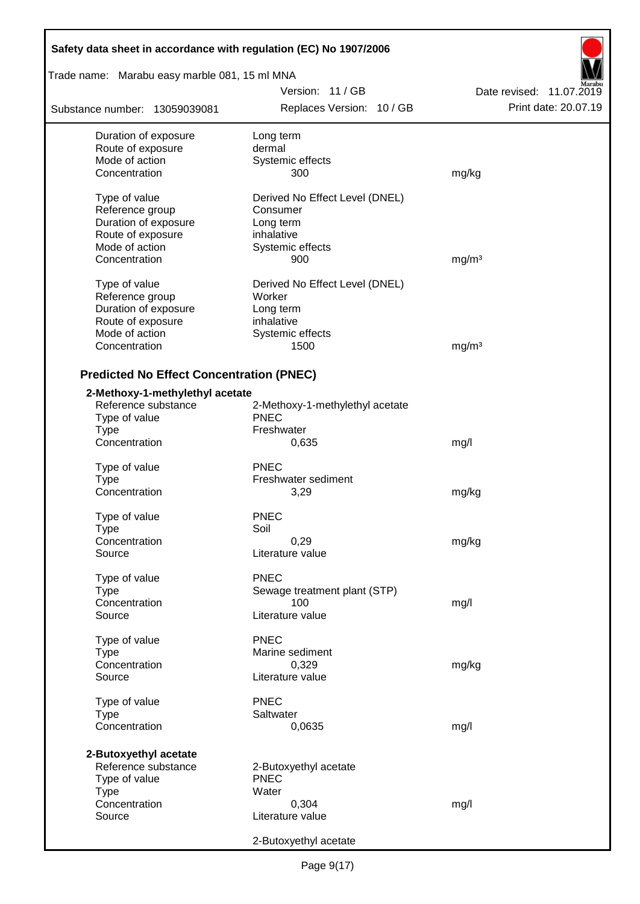| Safety data sheet in accordance with regulation (EC) No 1907/2006 |                                             |                                                  |  |  |  |
|-------------------------------------------------------------------|---------------------------------------------|--------------------------------------------------|--|--|--|
| Trade name: Marabu easy marble 081, 15 ml MNA                     |                                             |                                                  |  |  |  |
| Substance number: 13059039081                                     | Version: 11/GB<br>Replaces Version: 10 / GB | Date revised: 11.07.2019<br>Print date: 20.07.19 |  |  |  |
| Duration of exposure                                              | Long term                                   |                                                  |  |  |  |
| Route of exposure                                                 | dermal                                      |                                                  |  |  |  |
| Mode of action                                                    | Systemic effects                            |                                                  |  |  |  |
| Concentration                                                     | 300                                         | mg/kg                                            |  |  |  |
| Type of value                                                     | Derived No Effect Level (DNEL)              |                                                  |  |  |  |
| Reference group                                                   | Consumer                                    |                                                  |  |  |  |
| Duration of exposure                                              | Long term                                   |                                                  |  |  |  |
| Route of exposure                                                 | inhalative                                  |                                                  |  |  |  |
| Mode of action                                                    | Systemic effects                            |                                                  |  |  |  |
| Concentration                                                     | 900                                         | mg/m <sup>3</sup>                                |  |  |  |
| Type of value                                                     | Derived No Effect Level (DNEL)              |                                                  |  |  |  |
| Reference group                                                   | Worker                                      |                                                  |  |  |  |
| Duration of exposure                                              | Long term                                   |                                                  |  |  |  |
| Route of exposure                                                 | inhalative                                  |                                                  |  |  |  |
| Mode of action                                                    | Systemic effects                            |                                                  |  |  |  |
| Concentration                                                     | 1500                                        | mg/m <sup>3</sup>                                |  |  |  |
| <b>Predicted No Effect Concentration (PNEC)</b>                   |                                             |                                                  |  |  |  |
| 2-Methoxy-1-methylethyl acetate                                   |                                             |                                                  |  |  |  |
| Reference substance                                               | 2-Methoxy-1-methylethyl acetate             |                                                  |  |  |  |
| Type of value                                                     | <b>PNEC</b>                                 |                                                  |  |  |  |
| <b>Type</b>                                                       | Freshwater                                  |                                                  |  |  |  |
| Concentration                                                     | 0,635                                       | mg/l                                             |  |  |  |
| Type of value                                                     | <b>PNEC</b>                                 |                                                  |  |  |  |
| <b>Type</b>                                                       | Freshwater sediment                         |                                                  |  |  |  |
| Concentration                                                     | 3,29                                        | mg/kg                                            |  |  |  |
|                                                                   | <b>PNEC</b>                                 |                                                  |  |  |  |
| Type of value                                                     | Soil                                        |                                                  |  |  |  |
| Type<br>Concentration                                             | 0,29                                        | mg/kg                                            |  |  |  |
| Source                                                            | Literature value                            |                                                  |  |  |  |
|                                                                   |                                             |                                                  |  |  |  |
| Type of value                                                     | <b>PNEC</b>                                 |                                                  |  |  |  |
| <b>Type</b>                                                       | Sewage treatment plant (STP)                |                                                  |  |  |  |
| Concentration<br>Source                                           | 100<br>Literature value                     | mg/l                                             |  |  |  |
|                                                                   |                                             |                                                  |  |  |  |
| Type of value                                                     | <b>PNEC</b>                                 |                                                  |  |  |  |
| Type                                                              | Marine sediment                             |                                                  |  |  |  |
| Concentration                                                     | 0,329                                       | mg/kg                                            |  |  |  |
| Source                                                            | Literature value                            |                                                  |  |  |  |
| Type of value                                                     | <b>PNEC</b>                                 |                                                  |  |  |  |
| <b>Type</b>                                                       | Saltwater                                   |                                                  |  |  |  |
| Concentration                                                     | 0,0635                                      | mg/l                                             |  |  |  |
| 2-Butoxyethyl acetate                                             |                                             |                                                  |  |  |  |
| Reference substance                                               | 2-Butoxyethyl acetate                       |                                                  |  |  |  |
| Type of value                                                     | <b>PNEC</b>                                 |                                                  |  |  |  |
| <b>Type</b>                                                       | Water                                       |                                                  |  |  |  |
| Concentration                                                     | 0,304                                       | mg/l                                             |  |  |  |
| Source                                                            | Literature value                            |                                                  |  |  |  |
|                                                                   | 2-Butoxyethyl acetate                       |                                                  |  |  |  |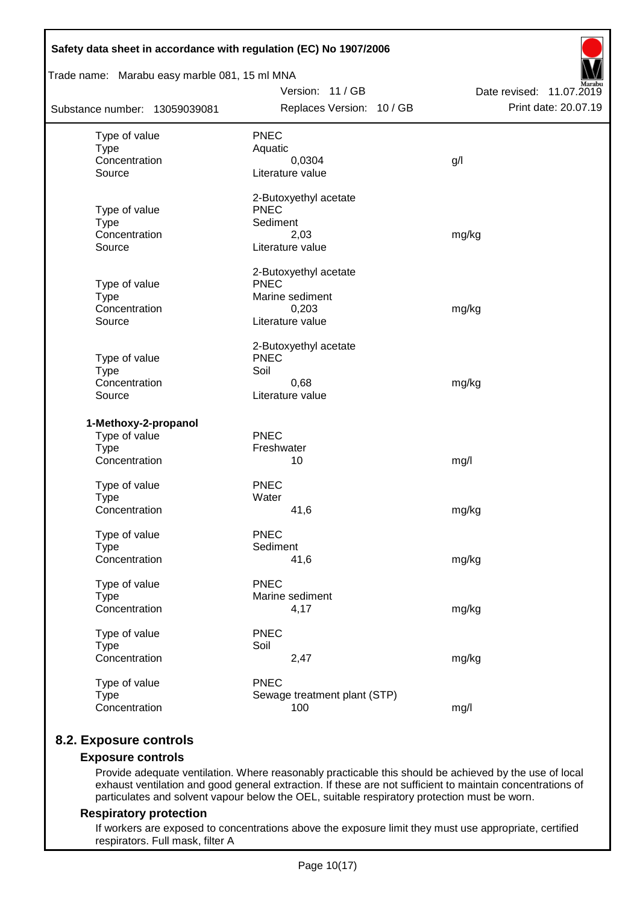| Trade name: Marabu easy marble 081, 15 ml MNA |                                      |                          |
|-----------------------------------------------|--------------------------------------|--------------------------|
|                                               | Version: 11 / GB                     | Date revised: 11.07.2019 |
| Substance number: 13059039081                 | Replaces Version: 10 / GB            | Print date: 20.07.19     |
| Type of value                                 | <b>PNEC</b>                          |                          |
| <b>Type</b>                                   | Aquatic                              |                          |
| Concentration                                 | 0,0304                               | g/l                      |
| Source                                        | Literature value                     |                          |
|                                               | 2-Butoxyethyl acetate                |                          |
| Type of value                                 | <b>PNEC</b>                          |                          |
| <b>Type</b>                                   | Sediment                             |                          |
| Concentration<br>Source                       | 2,03<br>Literature value             | mg/kg                    |
|                                               |                                      |                          |
|                                               | 2-Butoxyethyl acetate<br><b>PNEC</b> |                          |
| Type of value<br><b>Type</b>                  | Marine sediment                      |                          |
| Concentration                                 | 0,203                                | mg/kg                    |
| Source                                        | Literature value                     |                          |
|                                               | 2-Butoxyethyl acetate                |                          |
| Type of value                                 | <b>PNEC</b>                          |                          |
| <b>Type</b>                                   | Soil                                 |                          |
| Concentration                                 | 0,68                                 | mg/kg                    |
| Source                                        | Literature value                     |                          |
| 1-Methoxy-2-propanol                          |                                      |                          |
| Type of value                                 | <b>PNEC</b>                          |                          |
| <b>Type</b>                                   | Freshwater                           |                          |
| Concentration                                 | 10                                   | mg/l                     |
| Type of value                                 | <b>PNEC</b>                          |                          |
| <b>Type</b>                                   | Water                                |                          |
| Concentration                                 | 41,6                                 | mg/kg                    |
| Type of value                                 | <b>PNEC</b>                          |                          |
| <b>Type</b>                                   | Sediment                             |                          |
| Concentration                                 | 41,6                                 | mg/kg                    |
| Type of value                                 | <b>PNEC</b>                          |                          |
| <b>Type</b>                                   | Marine sediment                      |                          |
| Concentration                                 | 4,17                                 | mg/kg                    |
| Type of value                                 | <b>PNEC</b>                          |                          |
| <b>Type</b>                                   | Soil                                 |                          |
| Concentration                                 | 2,47                                 | mg/kg                    |
| Type of value                                 | <b>PNEC</b>                          |                          |
|                                               | Sewage treatment plant (STP)         |                          |
| <b>Type</b><br>Concentration                  | 100                                  | mg/l                     |

# **8.2. Exposure controls**

### **Exposure controls**

Provide adequate ventilation. Where reasonably practicable this should be achieved by the use of local exhaust ventilation and good general extraction. If these are not sufficient to maintain concentrations of particulates and solvent vapour below the OEL, suitable respiratory protection must be worn.

### **Respiratory protection**

If workers are exposed to concentrations above the exposure limit they must use appropriate, certified respirators. Full mask, filter A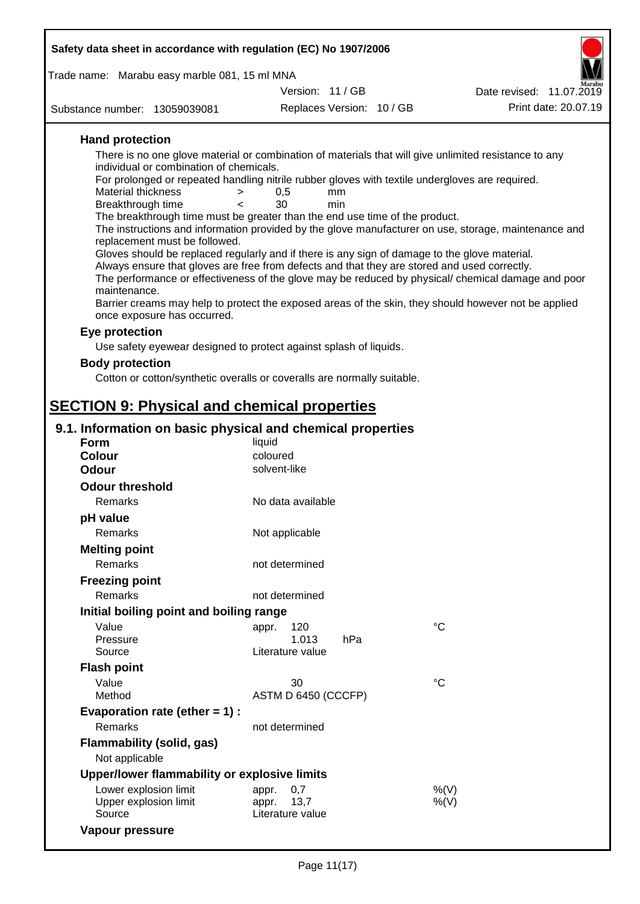| Safety data sheet in accordance with regulation (EC) No 1907/2006                                                                   |                           |             |                          |
|-------------------------------------------------------------------------------------------------------------------------------------|---------------------------|-------------|--------------------------|
| Trade name: Marabu easy marble 081, 15 ml MNA                                                                                       |                           |             |                          |
|                                                                                                                                     | Version: 11 / GB          |             | Date revised: 11.07.2019 |
| Substance number: 13059039081                                                                                                       | Replaces Version: 10 / GB |             | Print date: 20.07.19     |
| <b>Hand protection</b>                                                                                                              |                           |             |                          |
| There is no one glove material or combination of materials that will give unlimited resistance to any                               |                           |             |                          |
| individual or combination of chemicals.                                                                                             |                           |             |                          |
| For prolonged or repeated handling nitrile rubber gloves with textile undergloves are required.<br>Material thickness<br>>          | 0,5<br>mm                 |             |                          |
| Breakthrough time<br>≺                                                                                                              | 30<br>min                 |             |                          |
| The breakthrough time must be greater than the end use time of the product.                                                         |                           |             |                          |
| The instructions and information provided by the glove manufacturer on use, storage, maintenance and                                |                           |             |                          |
| replacement must be followed.<br>Gloves should be replaced regularly and if there is any sign of damage to the glove material.      |                           |             |                          |
| Always ensure that gloves are free from defects and that they are stored and used correctly.                                        |                           |             |                          |
| The performance or effectiveness of the glove may be reduced by physical/ chemical damage and poor                                  |                           |             |                          |
| maintenance.                                                                                                                        |                           |             |                          |
| Barrier creams may help to protect the exposed areas of the skin, they should however not be applied<br>once exposure has occurred. |                           |             |                          |
| Eye protection                                                                                                                      |                           |             |                          |
| Use safety eyewear designed to protect against splash of liquids.                                                                   |                           |             |                          |
| <b>Body protection</b>                                                                                                              |                           |             |                          |
| Cotton or cotton/synthetic overalls or coveralls are normally suitable.                                                             |                           |             |                          |
|                                                                                                                                     |                           |             |                          |
| <b>SECTION 9: Physical and chemical properties</b>                                                                                  |                           |             |                          |
|                                                                                                                                     |                           |             |                          |
| 9.1. Information on basic physical and chemical properties                                                                          |                           |             |                          |
| Form<br><b>Colour</b>                                                                                                               | liquid<br>coloured        |             |                          |
| <b>Odour</b>                                                                                                                        | solvent-like              |             |                          |
| <b>Odour threshold</b>                                                                                                              |                           |             |                          |
| Remarks                                                                                                                             | No data available         |             |                          |
| pH value                                                                                                                            |                           |             |                          |
| Remarks                                                                                                                             | Not applicable            |             |                          |
| <b>Melting point</b>                                                                                                                |                           |             |                          |
| Remarks                                                                                                                             | not determined            |             |                          |
| <b>Freezing point</b>                                                                                                               |                           |             |                          |
| Remarks                                                                                                                             | not determined            |             |                          |
| Initial boiling point and boiling range                                                                                             |                           |             |                          |
| Value                                                                                                                               | 120                       | $^{\circ}C$ |                          |
| Pressure                                                                                                                            | appr.<br>1.013<br>hPa     |             |                          |
| Source                                                                                                                              | Literature value          |             |                          |
| <b>Flash point</b>                                                                                                                  |                           |             |                          |
| Value                                                                                                                               | 30                        | $^{\circ}C$ |                          |
| Method                                                                                                                              | ASTM D 6450 (CCCFP)       |             |                          |
| Evaporation rate (ether $= 1$ ) :                                                                                                   |                           |             |                          |
| Remarks                                                                                                                             | not determined            |             |                          |
| <b>Flammability (solid, gas)</b>                                                                                                    |                           |             |                          |
| Not applicable                                                                                                                      |                           |             |                          |
| Upper/lower flammability or explosive limits                                                                                        |                           |             |                          |
| Lower explosion limit                                                                                                               | 0,7<br>appr.              | %(V)        |                          |
| Upper explosion limit                                                                                                               | 13,7<br>appr.             | $%$ (V)     |                          |
| Source                                                                                                                              | Literature value          |             |                          |

**Vapour pressure**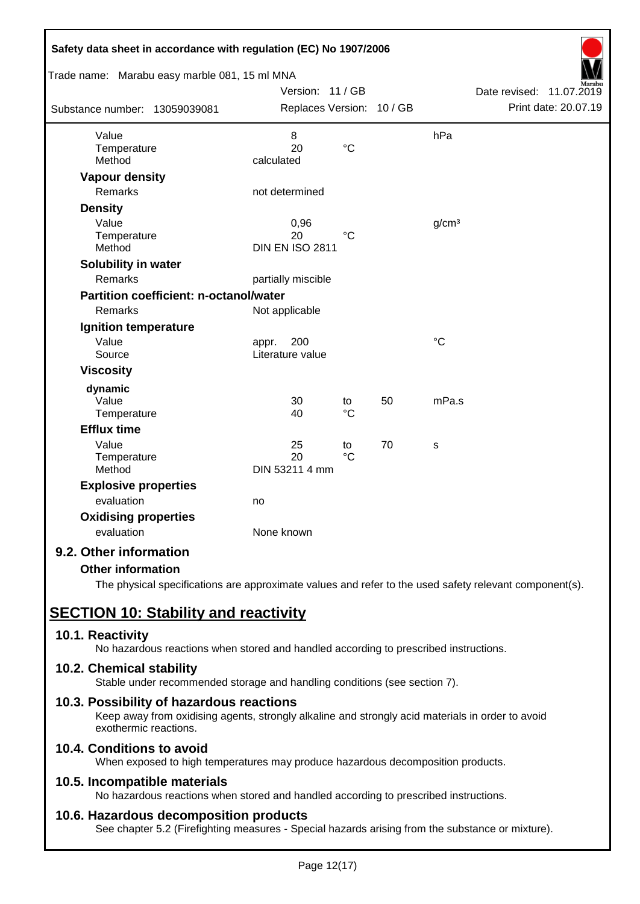| Safety data sheet in accordance with regulation (EC) No 1907/2006 |                                  |                 |    |                   |                             |
|-------------------------------------------------------------------|----------------------------------|-----------------|----|-------------------|-----------------------------|
| Trade name: Marabu easy marble 081, 15 ml MNA                     |                                  |                 |    |                   |                             |
|                                                                   | Version: 11 / GB                 |                 |    |                   | Date revised:<br>11.07.2019 |
| Substance number: 13059039081                                     | Replaces Version: 10 / GB        |                 |    |                   | Print date: 20.07.19        |
| Value                                                             | 8                                |                 |    | hPa               |                             |
| Temperature<br>Method                                             | 20<br>calculated                 | $\rm ^{\circ}C$ |    |                   |                             |
| <b>Vapour density</b>                                             |                                  |                 |    |                   |                             |
| Remarks                                                           | not determined                   |                 |    |                   |                             |
| <b>Density</b>                                                    |                                  |                 |    |                   |                             |
| Value                                                             | 0,96                             |                 |    | g/cm <sup>3</sup> |                             |
| Temperature                                                       | 20                               | $\rm ^{\circ}C$ |    |                   |                             |
| Method                                                            | <b>DIN EN ISO 2811</b>           |                 |    |                   |                             |
| Solubility in water                                               |                                  |                 |    |                   |                             |
| <b>Remarks</b>                                                    | partially miscible               |                 |    |                   |                             |
| <b>Partition coefficient: n-octanol/water</b>                     |                                  |                 |    |                   |                             |
| <b>Remarks</b>                                                    | Not applicable                   |                 |    |                   |                             |
| <b>Ignition temperature</b>                                       |                                  |                 |    |                   |                             |
| Value<br>Source                                                   | 200<br>appr.<br>Literature value |                 |    | $^{\circ}C$       |                             |
| <b>Viscosity</b>                                                  |                                  |                 |    |                   |                             |
|                                                                   |                                  |                 |    |                   |                             |
| dynamic<br>Value                                                  | 30                               | to              | 50 | mPa.s             |                             |
| Temperature                                                       | 40                               | $\rm ^{\circ}C$ |    |                   |                             |
| <b>Efflux time</b>                                                |                                  |                 |    |                   |                             |
| Value                                                             | 25                               | to              | 70 | s                 |                             |
| Temperature                                                       | 20                               | $\rm ^{\circ}C$ |    |                   |                             |
| Method                                                            | DIN 53211 4 mm                   |                 |    |                   |                             |
| <b>Explosive properties</b>                                       |                                  |                 |    |                   |                             |
| evaluation                                                        | no                               |                 |    |                   |                             |
| <b>Oxidising properties</b>                                       |                                  |                 |    |                   |                             |
| evaluation                                                        | None known                       |                 |    |                   |                             |
| 9.2. Other information                                            |                                  |                 |    |                   |                             |

# **Other information**

The physical specifications are approximate values and refer to the used safety relevant component(s).

# **SECTION 10: Stability and reactivity**

### **10.1. Reactivity**

No hazardous reactions when stored and handled according to prescribed instructions.

### **10.2. Chemical stability**

Stable under recommended storage and handling conditions (see section 7).

### **10.3. Possibility of hazardous reactions**

Keep away from oxidising agents, strongly alkaline and strongly acid materials in order to avoid exothermic reactions.

## **10.4. Conditions to avoid**

When exposed to high temperatures may produce hazardous decomposition products.

### **10.5. Incompatible materials**

No hazardous reactions when stored and handled according to prescribed instructions.

### **10.6. Hazardous decomposition products**

See chapter 5.2 (Firefighting measures - Special hazards arising from the substance or mixture).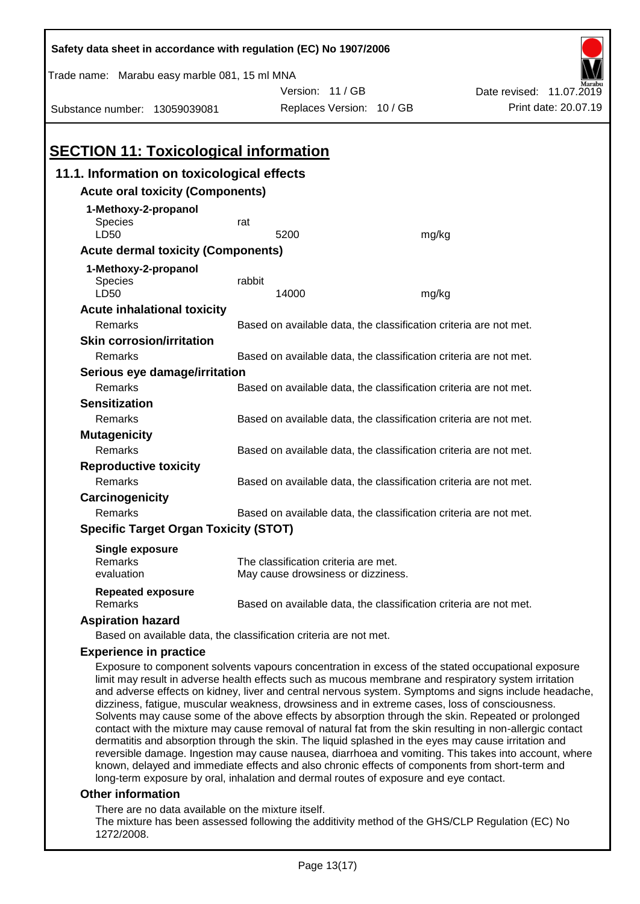| Safety data sheet in accordance with regulation (EC) No 1907/2006                                                                                                                                                                                                                                                                                                                                                                                                                                                                                                                                                                       |                                                                   |                                                                   |                                                                                                                                                                                                               |  |  |  |
|-----------------------------------------------------------------------------------------------------------------------------------------------------------------------------------------------------------------------------------------------------------------------------------------------------------------------------------------------------------------------------------------------------------------------------------------------------------------------------------------------------------------------------------------------------------------------------------------------------------------------------------------|-------------------------------------------------------------------|-------------------------------------------------------------------|---------------------------------------------------------------------------------------------------------------------------------------------------------------------------------------------------------------|--|--|--|
| Trade name: Marabu easy marble 081, 15 ml MNA                                                                                                                                                                                                                                                                                                                                                                                                                                                                                                                                                                                           |                                                                   |                                                                   |                                                                                                                                                                                                               |  |  |  |
|                                                                                                                                                                                                                                                                                                                                                                                                                                                                                                                                                                                                                                         | Version: 11 / GB                                                  |                                                                   | Date revised: 11.07.2019                                                                                                                                                                                      |  |  |  |
| Substance number: 13059039081                                                                                                                                                                                                                                                                                                                                                                                                                                                                                                                                                                                                           |                                                                   | Replaces Version: 10 / GB                                         | Print date: 20.07.19                                                                                                                                                                                          |  |  |  |
|                                                                                                                                                                                                                                                                                                                                                                                                                                                                                                                                                                                                                                         |                                                                   |                                                                   |                                                                                                                                                                                                               |  |  |  |
| <b>SECTION 11: Toxicological information</b>                                                                                                                                                                                                                                                                                                                                                                                                                                                                                                                                                                                            |                                                                   |                                                                   |                                                                                                                                                                                                               |  |  |  |
| 11.1. Information on toxicological effects                                                                                                                                                                                                                                                                                                                                                                                                                                                                                                                                                                                              |                                                                   |                                                                   |                                                                                                                                                                                                               |  |  |  |
| <b>Acute oral toxicity (Components)</b>                                                                                                                                                                                                                                                                                                                                                                                                                                                                                                                                                                                                 |                                                                   |                                                                   |                                                                                                                                                                                                               |  |  |  |
| 1-Methoxy-2-propanol                                                                                                                                                                                                                                                                                                                                                                                                                                                                                                                                                                                                                    |                                                                   |                                                                   |                                                                                                                                                                                                               |  |  |  |
| <b>Species</b>                                                                                                                                                                                                                                                                                                                                                                                                                                                                                                                                                                                                                          | rat                                                               |                                                                   |                                                                                                                                                                                                               |  |  |  |
| LD50                                                                                                                                                                                                                                                                                                                                                                                                                                                                                                                                                                                                                                    | 5200                                                              | mg/kg                                                             |                                                                                                                                                                                                               |  |  |  |
| <b>Acute dermal toxicity (Components)</b>                                                                                                                                                                                                                                                                                                                                                                                                                                                                                                                                                                                               |                                                                   |                                                                   |                                                                                                                                                                                                               |  |  |  |
| 1-Methoxy-2-propanol                                                                                                                                                                                                                                                                                                                                                                                                                                                                                                                                                                                                                    |                                                                   |                                                                   |                                                                                                                                                                                                               |  |  |  |
| Species                                                                                                                                                                                                                                                                                                                                                                                                                                                                                                                                                                                                                                 | rabbit                                                            |                                                                   |                                                                                                                                                                                                               |  |  |  |
| LD50                                                                                                                                                                                                                                                                                                                                                                                                                                                                                                                                                                                                                                    | 14000                                                             | mg/kg                                                             |                                                                                                                                                                                                               |  |  |  |
| <b>Acute inhalational toxicity</b>                                                                                                                                                                                                                                                                                                                                                                                                                                                                                                                                                                                                      |                                                                   |                                                                   |                                                                                                                                                                                                               |  |  |  |
| Remarks                                                                                                                                                                                                                                                                                                                                                                                                                                                                                                                                                                                                                                 |                                                                   | Based on available data, the classification criteria are not met. |                                                                                                                                                                                                               |  |  |  |
| <b>Skin corrosion/irritation</b>                                                                                                                                                                                                                                                                                                                                                                                                                                                                                                                                                                                                        |                                                                   |                                                                   |                                                                                                                                                                                                               |  |  |  |
| Remarks                                                                                                                                                                                                                                                                                                                                                                                                                                                                                                                                                                                                                                 |                                                                   | Based on available data, the classification criteria are not met. |                                                                                                                                                                                                               |  |  |  |
| Serious eye damage/irritation                                                                                                                                                                                                                                                                                                                                                                                                                                                                                                                                                                                                           |                                                                   |                                                                   |                                                                                                                                                                                                               |  |  |  |
| Remarks                                                                                                                                                                                                                                                                                                                                                                                                                                                                                                                                                                                                                                 |                                                                   | Based on available data, the classification criteria are not met. |                                                                                                                                                                                                               |  |  |  |
| <b>Sensitization</b>                                                                                                                                                                                                                                                                                                                                                                                                                                                                                                                                                                                                                    |                                                                   |                                                                   |                                                                                                                                                                                                               |  |  |  |
| Remarks                                                                                                                                                                                                                                                                                                                                                                                                                                                                                                                                                                                                                                 | Based on available data, the classification criteria are not met. |                                                                   |                                                                                                                                                                                                               |  |  |  |
| <b>Mutagenicity</b>                                                                                                                                                                                                                                                                                                                                                                                                                                                                                                                                                                                                                     |                                                                   |                                                                   |                                                                                                                                                                                                               |  |  |  |
| Remarks                                                                                                                                                                                                                                                                                                                                                                                                                                                                                                                                                                                                                                 | Based on available data, the classification criteria are not met. |                                                                   |                                                                                                                                                                                                               |  |  |  |
| <b>Reproductive toxicity</b>                                                                                                                                                                                                                                                                                                                                                                                                                                                                                                                                                                                                            |                                                                   |                                                                   |                                                                                                                                                                                                               |  |  |  |
| Remarks                                                                                                                                                                                                                                                                                                                                                                                                                                                                                                                                                                                                                                 | Based on available data, the classification criteria are not met. |                                                                   |                                                                                                                                                                                                               |  |  |  |
| Carcinogenicity                                                                                                                                                                                                                                                                                                                                                                                                                                                                                                                                                                                                                         |                                                                   |                                                                   |                                                                                                                                                                                                               |  |  |  |
| Remarks                                                                                                                                                                                                                                                                                                                                                                                                                                                                                                                                                                                                                                 | Based on available data, the classification criteria are not met. |                                                                   |                                                                                                                                                                                                               |  |  |  |
| <b>Specific Target Organ Toxicity (STOT)</b>                                                                                                                                                                                                                                                                                                                                                                                                                                                                                                                                                                                            |                                                                   |                                                                   |                                                                                                                                                                                                               |  |  |  |
| <b>Single exposure</b>                                                                                                                                                                                                                                                                                                                                                                                                                                                                                                                                                                                                                  |                                                                   |                                                                   |                                                                                                                                                                                                               |  |  |  |
| Remarks                                                                                                                                                                                                                                                                                                                                                                                                                                                                                                                                                                                                                                 | The classification criteria are met.                              |                                                                   |                                                                                                                                                                                                               |  |  |  |
| evaluation                                                                                                                                                                                                                                                                                                                                                                                                                                                                                                                                                                                                                              | May cause drowsiness or dizziness.                                |                                                                   |                                                                                                                                                                                                               |  |  |  |
| <b>Repeated exposure</b><br>Remarks                                                                                                                                                                                                                                                                                                                                                                                                                                                                                                                                                                                                     |                                                                   | Based on available data, the classification criteria are not met. |                                                                                                                                                                                                               |  |  |  |
| <b>Aspiration hazard</b>                                                                                                                                                                                                                                                                                                                                                                                                                                                                                                                                                                                                                |                                                                   |                                                                   |                                                                                                                                                                                                               |  |  |  |
| Based on available data, the classification criteria are not met.                                                                                                                                                                                                                                                                                                                                                                                                                                                                                                                                                                       |                                                                   |                                                                   |                                                                                                                                                                                                               |  |  |  |
| <b>Experience in practice</b>                                                                                                                                                                                                                                                                                                                                                                                                                                                                                                                                                                                                           |                                                                   |                                                                   |                                                                                                                                                                                                               |  |  |  |
| Exposure to component solvents vapours concentration in excess of the stated occupational exposure<br>limit may result in adverse health effects such as mucous membrane and respiratory system irritation<br>dizziness, fatigue, muscular weakness, drowsiness and in extreme cases, loss of consciousness.<br>Solvents may cause some of the above effects by absorption through the skin. Repeated or prolonged<br>contact with the mixture may cause removal of natural fat from the skin resulting in non-allergic contact<br>dermatitis and absorption through the skin. The liquid splashed in the eyes may cause irritation and |                                                                   |                                                                   | and adverse effects on kidney, liver and central nervous system. Symptoms and signs include headache,<br>reversible damage, Ingestion may cause nausea, diarrhoop and vemiting. This takes into account where |  |  |  |

reversible damage. Ingestion may cause nausea, diarrhoea and vomiting. This takes into account, where known, delayed and immediate effects and also chronic effects of components from short-term and long-term exposure by oral, inhalation and dermal routes of exposure and eye contact.

### **Other information**

There are no data available on the mixture itself.

The mixture has been assessed following the additivity method of the GHS/CLP Regulation (EC) No 1272/2008.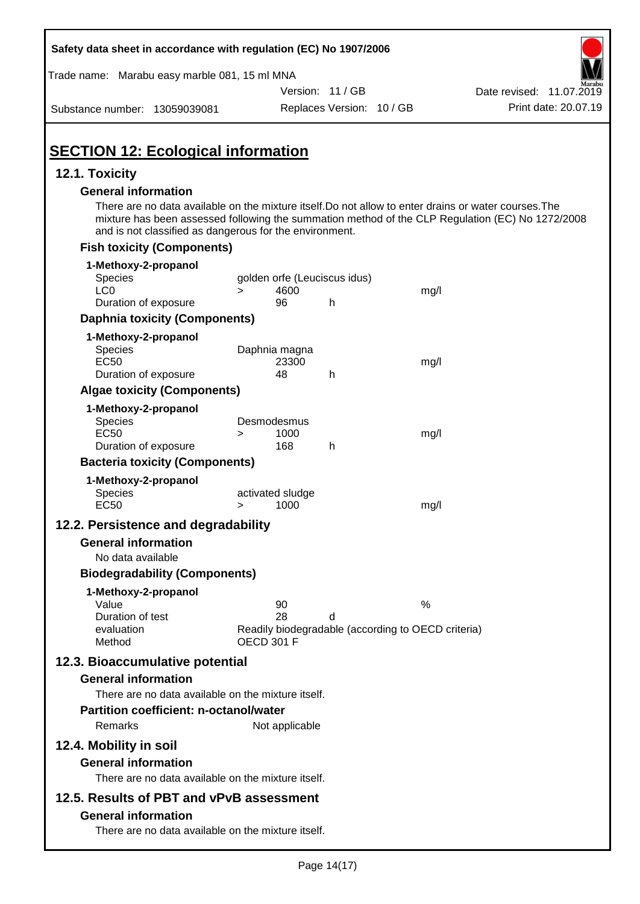| Safety data sheet in accordance with regulation (EC) No 1907/2006                                                                                                                                                                                                                                  |                                                                                     |                           |      |                          |
|----------------------------------------------------------------------------------------------------------------------------------------------------------------------------------------------------------------------------------------------------------------------------------------------------|-------------------------------------------------------------------------------------|---------------------------|------|--------------------------|
| Trade name: Marabu easy marble 081, 15 ml MNA                                                                                                                                                                                                                                                      |                                                                                     |                           |      |                          |
|                                                                                                                                                                                                                                                                                                    |                                                                                     | Version: 11 / GB          |      | Date revised: 11.07.2019 |
| Substance number: 13059039081                                                                                                                                                                                                                                                                      |                                                                                     | Replaces Version: 10 / GB |      | Print date: 20.07.19     |
| <b>SECTION 12: Ecological information</b>                                                                                                                                                                                                                                                          |                                                                                     |                           |      |                          |
| 12.1. Toxicity                                                                                                                                                                                                                                                                                     |                                                                                     |                           |      |                          |
| <b>General information</b><br>There are no data available on the mixture itself. Do not allow to enter drains or water courses. The<br>mixture has been assessed following the summation method of the CLP Regulation (EC) No 1272/2008<br>and is not classified as dangerous for the environment. |                                                                                     |                           |      |                          |
| <b>Fish toxicity (Components)</b>                                                                                                                                                                                                                                                                  |                                                                                     |                           |      |                          |
| 1-Methoxy-2-propanol<br>Species<br>LC <sub>0</sub>                                                                                                                                                                                                                                                 | golden orfe (Leuciscus idus)<br>4600<br>$\geq$                                      |                           | mg/l |                          |
| Duration of exposure                                                                                                                                                                                                                                                                               | 96                                                                                  | h                         |      |                          |
| <b>Daphnia toxicity (Components)</b>                                                                                                                                                                                                                                                               |                                                                                     |                           |      |                          |
| 1-Methoxy-2-propanol<br><b>Species</b><br><b>EC50</b><br>Duration of exposure                                                                                                                                                                                                                      | Daphnia magna<br>23300<br>48                                                        | h                         | mg/l |                          |
| <b>Algae toxicity (Components)</b>                                                                                                                                                                                                                                                                 |                                                                                     |                           |      |                          |
| 1-Methoxy-2-propanol<br>Species<br><b>EC50</b><br>Duration of exposure                                                                                                                                                                                                                             | Desmodesmus<br>1000<br>$\geq$<br>168                                                | h                         | mg/l |                          |
| <b>Bacteria toxicity (Components)</b>                                                                                                                                                                                                                                                              |                                                                                     |                           |      |                          |
| 1-Methoxy-2-propanol<br>Species<br><b>EC50</b>                                                                                                                                                                                                                                                     | activated sludge<br>1000<br>$\geq$                                                  |                           | mg/l |                          |
| 12.2. Persistence and degradability                                                                                                                                                                                                                                                                |                                                                                     |                           |      |                          |
| <b>General information</b>                                                                                                                                                                                                                                                                         |                                                                                     |                           |      |                          |
| No data available                                                                                                                                                                                                                                                                                  |                                                                                     |                           |      |                          |
| <b>Biodegradability (Components)</b>                                                                                                                                                                                                                                                               |                                                                                     |                           |      |                          |
| 1-Methoxy-2-propanol<br>Value<br>Duration of test<br>evaluation<br>Method                                                                                                                                                                                                                          | 90<br>28<br>Readily biodegradable (according to OECD criteria)<br><b>OECD 301 F</b> | d                         | %    |                          |
| 12.3. Bioaccumulative potential<br><b>General information</b>                                                                                                                                                                                                                                      |                                                                                     |                           |      |                          |
| There are no data available on the mixture itself.                                                                                                                                                                                                                                                 |                                                                                     |                           |      |                          |
| <b>Partition coefficient: n-octanol/water</b>                                                                                                                                                                                                                                                      |                                                                                     |                           |      |                          |
| Remarks                                                                                                                                                                                                                                                                                            | Not applicable                                                                      |                           |      |                          |
| 12.4. Mobility in soil                                                                                                                                                                                                                                                                             |                                                                                     |                           |      |                          |
| <b>General information</b>                                                                                                                                                                                                                                                                         |                                                                                     |                           |      |                          |
| There are no data available on the mixture itself.                                                                                                                                                                                                                                                 |                                                                                     |                           |      |                          |
| 12.5. Results of PBT and vPvB assessment                                                                                                                                                                                                                                                           |                                                                                     |                           |      |                          |
| <b>General information</b><br>There are no data available on the mixture itself.                                                                                                                                                                                                                   |                                                                                     |                           |      |                          |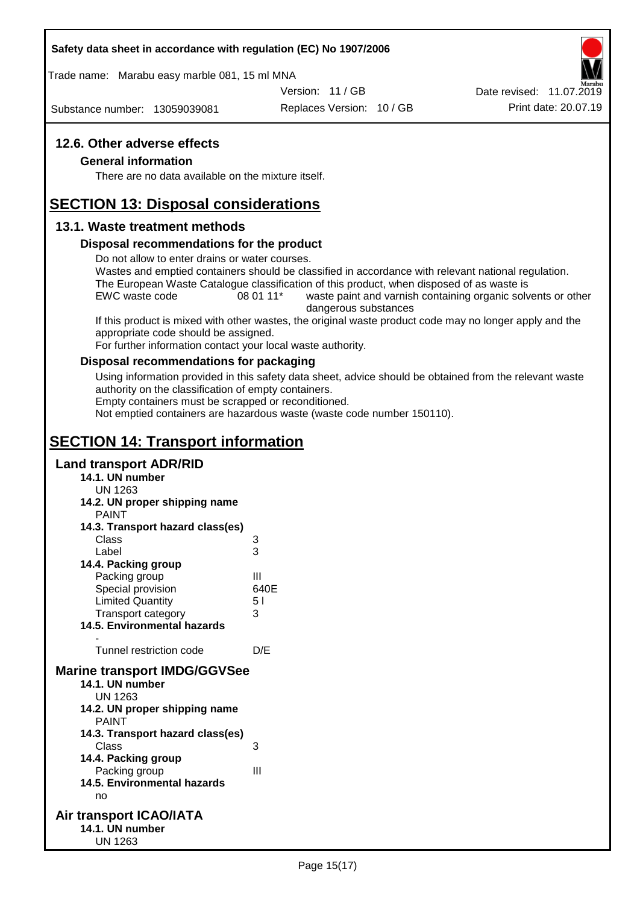### **Safety data sheet in accordance with regulation (EC) No 1907/2006**

Trade name: Marabu easy marble 081, 15 ml MNA

Version: 11 / GB

Substance number: 13059039081

Replaces Version: 10 / GB Print date: 20.07.19 Date revised: 11.07.2019

### **12.6. Other adverse effects**

### **General information**

There are no data available on the mixture itself.

# **SECTION 13: Disposal considerations**

### **13.1. Waste treatment methods**

### **Disposal recommendations for the product**

Do not allow to enter drains or water courses.

Wastes and emptied containers should be classified in accordance with relevant national regulation. The European Waste Catalogue classification of this product, when disposed of as waste is

EWC waste code 08 01 11<sup>\*</sup> waste paint and varnish containing organic solvents or other dangerous substances

If this product is mixed with other wastes, the original waste product code may no longer apply and the appropriate code should be assigned.

For further information contact your local waste authority.

### **Disposal recommendations for packaging**

Using information provided in this safety data sheet, advice should be obtained from the relevant waste authority on the classification of empty containers.

Empty containers must be scrapped or reconditioned.

Not emptied containers are hazardous waste (waste code number 150110).

# **SECTION 14: Transport information**

### **Land transport ADR/RID**

**14.1. UN number** UN 1263 **14.2. UN proper shipping name** PAINT **14.3. Transport hazard class(es)** Class 3 Label 3 **14.4. Packing group** Packing group III Special provision 640E Limited Quantity 5 l Transport category 3 **14.5. Environmental hazards** - Tunnel restriction code D/E **Marine transport IMDG/GGVSee 14.1. UN number** UN 1263 **14.2. UN proper shipping name** PAINT **14.3. Transport hazard class(es)** Class 3 **14.4. Packing group** Packing group III **14.5. Environmental hazards** no **Air transport ICAO/IATA 14.1. UN number** UN 1263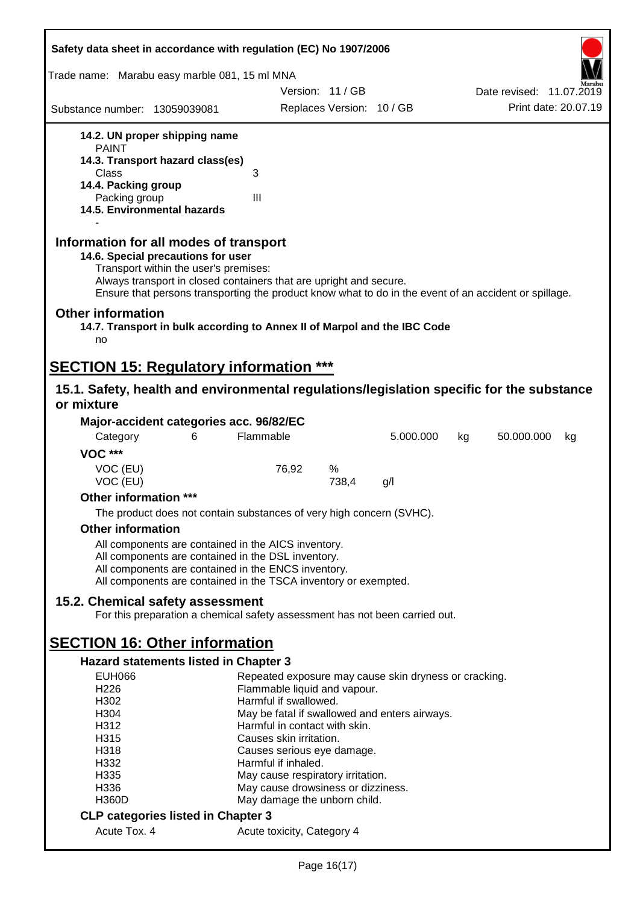| Safety data sheet in accordance with regulation (EC) No 1907/2006                                                                                                                                                                                                                                    |                                                       |                           |           |    |                          |    |
|------------------------------------------------------------------------------------------------------------------------------------------------------------------------------------------------------------------------------------------------------------------------------------------------------|-------------------------------------------------------|---------------------------|-----------|----|--------------------------|----|
| Trade name: Marabu easy marble 081, 15 ml MNA                                                                                                                                                                                                                                                        |                                                       |                           |           |    |                          |    |
|                                                                                                                                                                                                                                                                                                      |                                                       | Version: 11/GB            |           |    | Date revised: 11.07.2019 |    |
| Substance number: 13059039081                                                                                                                                                                                                                                                                        |                                                       | Replaces Version: 10 / GB |           |    | Print date: 20.07.19     |    |
| 14.2. UN proper shipping name                                                                                                                                                                                                                                                                        |                                                       |                           |           |    |                          |    |
| <b>PAINT</b>                                                                                                                                                                                                                                                                                         |                                                       |                           |           |    |                          |    |
| 14.3. Transport hazard class(es)                                                                                                                                                                                                                                                                     |                                                       |                           |           |    |                          |    |
| Class<br>14.4. Packing group                                                                                                                                                                                                                                                                         | 3                                                     |                           |           |    |                          |    |
| Packing group                                                                                                                                                                                                                                                                                        | III                                                   |                           |           |    |                          |    |
| 14.5. Environmental hazards                                                                                                                                                                                                                                                                          |                                                       |                           |           |    |                          |    |
| Information for all modes of transport<br>14.6. Special precautions for user<br>Transport within the user's premises:<br>Always transport in closed containers that are upright and secure.<br>Ensure that persons transporting the product know what to do in the event of an accident or spillage. |                                                       |                           |           |    |                          |    |
| <b>Other information</b><br>14.7. Transport in bulk according to Annex II of Marpol and the IBC Code<br>no                                                                                                                                                                                           |                                                       |                           |           |    |                          |    |
| <b>SECTION 15: Regulatory information ***</b>                                                                                                                                                                                                                                                        |                                                       |                           |           |    |                          |    |
| 15.1. Safety, health and environmental regulations/legislation specific for the substance                                                                                                                                                                                                            |                                                       |                           |           |    |                          |    |
| or mixture                                                                                                                                                                                                                                                                                           |                                                       |                           |           |    |                          |    |
| Major-accident categories acc. 96/82/EC                                                                                                                                                                                                                                                              |                                                       |                           |           |    |                          |    |
| Category<br>6                                                                                                                                                                                                                                                                                        | Flammable                                             |                           | 5.000.000 | kg | 50.000.000               | kg |
| <b>VOC ***</b>                                                                                                                                                                                                                                                                                       |                                                       |                           |           |    |                          |    |
| VOC (EU)                                                                                                                                                                                                                                                                                             | 76,92                                                 | %                         |           |    |                          |    |
| VOC (EU)                                                                                                                                                                                                                                                                                             |                                                       | 738,4                     | g/l       |    |                          |    |
| Other information ***                                                                                                                                                                                                                                                                                |                                                       |                           |           |    |                          |    |
| The product does not contain substances of very high concern (SVHC).                                                                                                                                                                                                                                 |                                                       |                           |           |    |                          |    |
| <b>Other information</b>                                                                                                                                                                                                                                                                             |                                                       |                           |           |    |                          |    |
| All components are contained in the AICS inventory.                                                                                                                                                                                                                                                  |                                                       |                           |           |    |                          |    |
| All components are contained in the DSL inventory.                                                                                                                                                                                                                                                   |                                                       |                           |           |    |                          |    |
| All components are contained in the ENCS inventory.<br>All components are contained in the TSCA inventory or exempted.                                                                                                                                                                               |                                                       |                           |           |    |                          |    |
|                                                                                                                                                                                                                                                                                                      |                                                       |                           |           |    |                          |    |
| 15.2. Chemical safety assessment<br>For this preparation a chemical safety assessment has not been carried out.                                                                                                                                                                                      |                                                       |                           |           |    |                          |    |
|                                                                                                                                                                                                                                                                                                      |                                                       |                           |           |    |                          |    |
| <b>SECTION 16: Other information</b><br><b>Hazard statements listed in Chapter 3</b>                                                                                                                                                                                                                 |                                                       |                           |           |    |                          |    |
| <b>EUH066</b>                                                                                                                                                                                                                                                                                        | Repeated exposure may cause skin dryness or cracking. |                           |           |    |                          |    |
| H <sub>226</sub>                                                                                                                                                                                                                                                                                     | Flammable liquid and vapour.                          |                           |           |    |                          |    |
| H302                                                                                                                                                                                                                                                                                                 | Harmful if swallowed.                                 |                           |           |    |                          |    |
| H304                                                                                                                                                                                                                                                                                                 | May be fatal if swallowed and enters airways.         |                           |           |    |                          |    |
| H312                                                                                                                                                                                                                                                                                                 | Harmful in contact with skin.                         |                           |           |    |                          |    |
| H315<br>H318                                                                                                                                                                                                                                                                                         | Causes skin irritation.<br>Causes serious eye damage. |                           |           |    |                          |    |
| H332                                                                                                                                                                                                                                                                                                 | Harmful if inhaled.                                   |                           |           |    |                          |    |
| H335                                                                                                                                                                                                                                                                                                 | May cause respiratory irritation.                     |                           |           |    |                          |    |
| H336                                                                                                                                                                                                                                                                                                 | May cause drowsiness or dizziness.                    |                           |           |    |                          |    |
| <b>H360D</b>                                                                                                                                                                                                                                                                                         | May damage the unborn child.                          |                           |           |    |                          |    |
| <b>CLP categories listed in Chapter 3</b>                                                                                                                                                                                                                                                            |                                                       |                           |           |    |                          |    |
| Acute Tox. 4                                                                                                                                                                                                                                                                                         | Acute toxicity, Category 4                            |                           |           |    |                          |    |